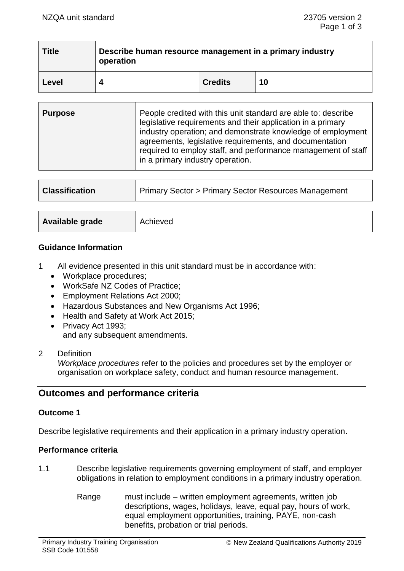| <b>Title</b> | Describe human resource management in a primary industry<br>operation |                |    |  |
|--------------|-----------------------------------------------------------------------|----------------|----|--|
| 'Level       |                                                                       | <b>Credits</b> | 10 |  |

| <b>Purpose</b> | People credited with this unit standard are able to: describe<br>legislative requirements and their application in a primary<br>industry operation; and demonstrate knowledge of employment<br>agreements, legislative requirements, and documentation<br>required to employ staff, and performance management of staff<br>in a primary industry operation. |
|----------------|-------------------------------------------------------------------------------------------------------------------------------------------------------------------------------------------------------------------------------------------------------------------------------------------------------------------------------------------------------------|
|                |                                                                                                                                                                                                                                                                                                                                                             |

| <b>Classification</b> | <b>Primary Sector &gt; Primary Sector Resources Management</b> |  |
|-----------------------|----------------------------------------------------------------|--|
|                       |                                                                |  |
| Available grade       | Achieved                                                       |  |

#### **Guidance Information**

- 1 All evidence presented in this unit standard must be in accordance with:
	- Workplace procedures;
	- WorkSafe NZ Codes of Practice;
	- Employment Relations Act 2000;
	- Hazardous Substances and New Organisms Act 1996;
	- Health and Safety at Work Act 2015;
	- Privacy Act 1993; and any subsequent amendments.
- 2 Definition

*Workplace procedures* refer to the policies and procedures set by the employer or organisation on workplace safety, conduct and human resource management.

# **Outcomes and performance criteria**

## **Outcome 1**

Describe legislative requirements and their application in a primary industry operation.

## **Performance criteria**

- 1.1 Describe legislative requirements governing employment of staff, and employer obligations in relation to employment conditions in a primary industry operation.
	- Range must include written employment agreements, written job descriptions, wages, holidays, leave, equal pay, hours of work, equal employment opportunities, training, PAYE, non-cash benefits, probation or trial periods.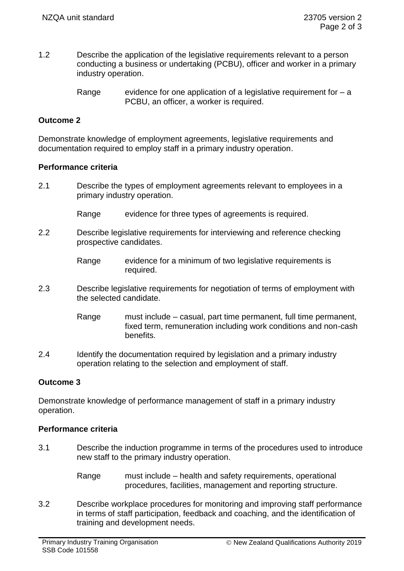- 1.2 Describe the application of the legislative requirements relevant to a person conducting a business or undertaking (PCBU), officer and worker in a primary industry operation.
	- Range evidence for one application of a legislative requirement for  $a$ PCBU, an officer, a worker is required.

## **Outcome 2**

Demonstrate knowledge of employment agreements, legislative requirements and documentation required to employ staff in a primary industry operation.

## **Performance criteria**

- 2.1 Describe the types of employment agreements relevant to employees in a primary industry operation.
	- Range evidence for three types of agreements is required.
- 2.2 Describe legislative requirements for interviewing and reference checking prospective candidates.
	- Range evidence for a minimum of two legislative requirements is required.
- 2.3 Describe legislative requirements for negotiation of terms of employment with the selected candidate.
	- Range must include casual, part time permanent, full time permanent, fixed term, remuneration including work conditions and non-cash benefits.
- 2.4 Identify the documentation required by legislation and a primary industry operation relating to the selection and employment of staff.

## **Outcome 3**

Demonstrate knowledge of performance management of staff in a primary industry operation.

## **Performance criteria**

- 3.1 Describe the induction programme in terms of the procedures used to introduce new staff to the primary industry operation.
	- Range must include health and safety requirements, operational procedures, facilities, management and reporting structure.
- 3.2 Describe workplace procedures for monitoring and improving staff performance in terms of staff participation, feedback and coaching, and the identification of training and development needs.